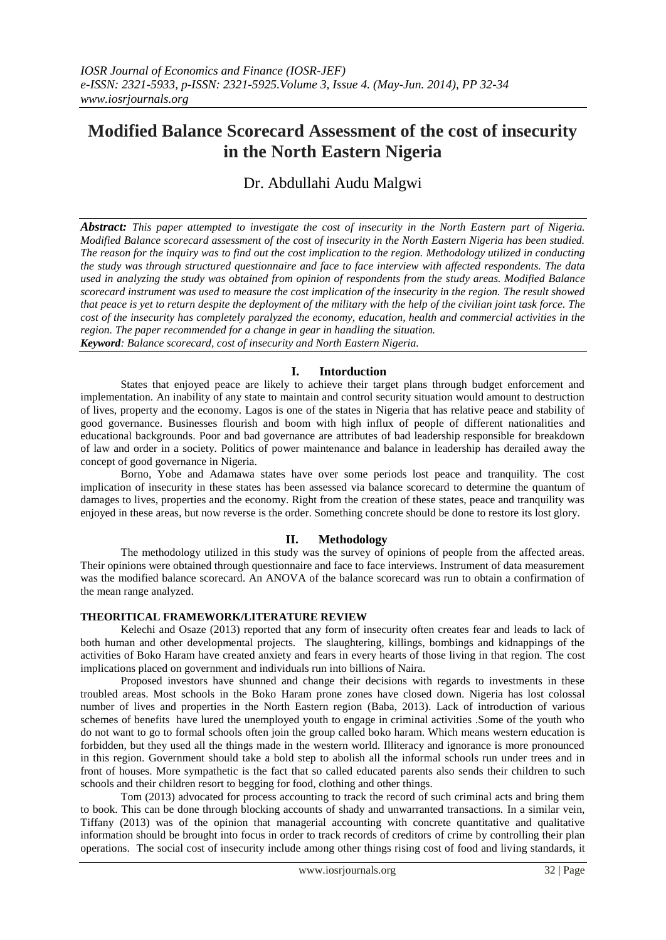# **Modified Balance Scorecard Assessment of the cost of insecurity in the North Eastern Nigeria**

Dr. Abdullahi Audu Malgwi

*Abstract: This paper attempted to investigate the cost of insecurity in the North Eastern part of Nigeria. Modified Balance scorecard assessment of the cost of insecurity in the North Eastern Nigeria has been studied. The reason for the inquiry was to find out the cost implication to the region. Methodology utilized in conducting the study was through structured questionnaire and face to face interview with affected respondents. The data used in analyzing the study was obtained from opinion of respondents from the study areas. Modified Balance scorecard instrument was used to measure the cost implication of the insecurity in the region. The result showed that peace is yet to return despite the deployment of the military with the help of the civilian joint task force. The cost of the insecurity has completely paralyzed the economy, education, health and commercial activities in the region. The paper recommended for a change in gear in handling the situation.*

*Keyword: Balance scorecard, cost of insecurity and North Eastern Nigeria.*

## **I. Intorduction**

States that enjoyed peace are likely to achieve their target plans through budget enforcement and implementation. An inability of any state to maintain and control security situation would amount to destruction of lives, property and the economy. Lagos is one of the states in Nigeria that has relative peace and stability of good governance. Businesses flourish and boom with high influx of people of different nationalities and educational backgrounds. Poor and bad governance are attributes of bad leadership responsible for breakdown of law and order in a society. Politics of power maintenance and balance in leadership has derailed away the concept of good governance in Nigeria.

Borno, Yobe and Adamawa states have over some periods lost peace and tranquility. The cost implication of insecurity in these states has been assessed via balance scorecard to determine the quantum of damages to lives, properties and the economy. Right from the creation of these states, peace and tranquility was enjoyed in these areas, but now reverse is the order. Something concrete should be done to restore its lost glory.

# **II. Methodology**

The methodology utilized in this study was the survey of opinions of people from the affected areas. Their opinions were obtained through questionnaire and face to face interviews. Instrument of data measurement was the modified balance scorecard. An ANOVA of the balance scorecard was run to obtain a confirmation of the mean range analyzed.

# **THEORITICAL FRAMEWORK/LITERATURE REVIEW**

Kelechi and Osaze (2013) reported that any form of insecurity often creates fear and leads to lack of both human and other developmental projects. The slaughtering, killings, bombings and kidnappings of the activities of Boko Haram have created anxiety and fears in every hearts of those living in that region. The cost implications placed on government and individuals run into billions of Naira.

Proposed investors have shunned and change their decisions with regards to investments in these troubled areas. Most schools in the Boko Haram prone zones have closed down. Nigeria has lost colossal number of lives and properties in the North Eastern region (Baba, 2013). Lack of introduction of various schemes of benefits have lured the unemployed youth to engage in criminal activities .Some of the youth who do not want to go to formal schools often join the group called boko haram. Which means western education is forbidden, but they used all the things made in the western world. Illiteracy and ignorance is more pronounced in this region. Government should take a bold step to abolish all the informal schools run under trees and in front of houses. More sympathetic is the fact that so called educated parents also sends their children to such schools and their children resort to begging for food, clothing and other things.

Tom (2013) advocated for process accounting to track the record of such criminal acts and bring them to book. This can be done through blocking accounts of shady and unwarranted transactions. In a similar vein, Tiffany (2013) was of the opinion that managerial accounting with concrete quantitative and qualitative information should be brought into focus in order to track records of creditors of crime by controlling their plan operations. The social cost of insecurity include among other things rising cost of food and living standards, it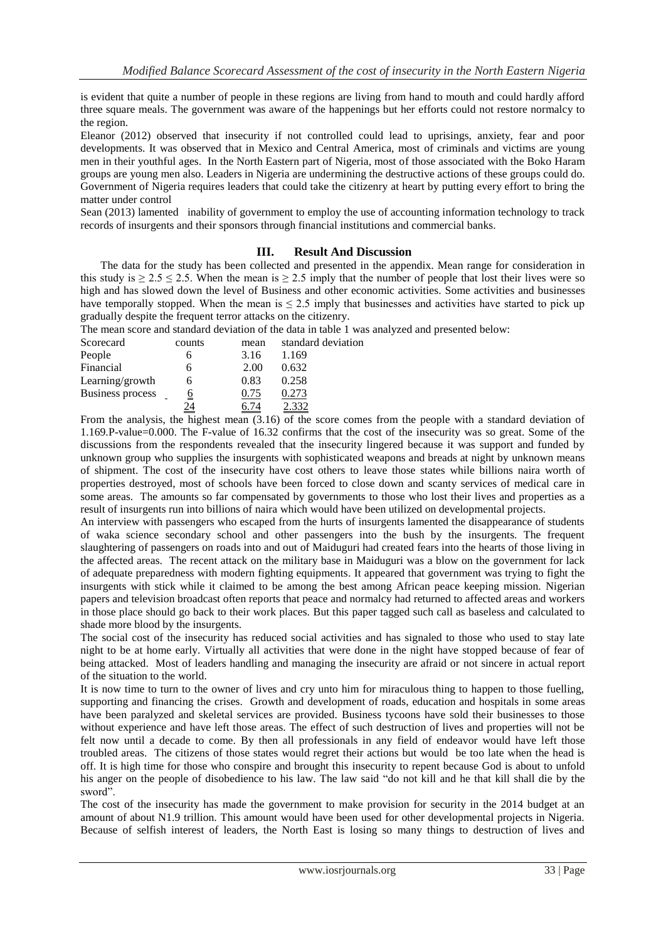is evident that quite a number of people in these regions are living from hand to mouth and could hardly afford three square meals. The government was aware of the happenings but her efforts could not restore normalcy to the region.

Eleanor (2012) observed that insecurity if not controlled could lead to uprisings, anxiety, fear and poor developments. It was observed that in Mexico and Central America, most of criminals and victims are young men in their youthful ages. In the North Eastern part of Nigeria, most of those associated with the Boko Haram groups are young men also. Leaders in Nigeria are undermining the destructive actions of these groups could do. Government of Nigeria requires leaders that could take the citizenry at heart by putting every effort to bring the matter under control

Sean (2013) lamented inability of government to employ the use of accounting information technology to track records of insurgents and their sponsors through financial institutions and commercial banks.

## **III. Result And Discussion**

The data for the study has been collected and presented in the appendix. Mean range for consideration in this study is  $\ge 2.5 \le 2.5$ . When the mean is  $\ge 2.5$  imply that the number of people that lost their lives were so high and has slowed down the level of Business and other economic activities. Some activities and businesses have temporally stopped. When the mean is  $\leq 2.5$  imply that businesses and activities have started to pick up gradually despite the frequent terror attacks on the citizenry.

The mean score and standard deviation of the data in table 1 was analyzed and presented below:

| Scorecard               | counts   | mean | standard deviation |
|-------------------------|----------|------|--------------------|
| People                  |          | 3.16 | 1.169              |
| Financial               | h        | 2.00 | 0.632              |
| Learning/growth         |          | 0.83 | 0.258              |
| <b>Business process</b> | <u>0</u> | 0.75 | 0.273              |
|                         | 24       |      |                    |

From the analysis, the highest mean (3.16) of the score comes from the people with a standard deviation of 1.169.P-value=0.000. The F-value of 16.32 confirms that the cost of the insecurity was so great. Some of the discussions from the respondents revealed that the insecurity lingered because it was support and funded by unknown group who supplies the insurgents with sophisticated weapons and breads at night by unknown means of shipment. The cost of the insecurity have cost others to leave those states while billions naira worth of properties destroyed, most of schools have been forced to close down and scanty services of medical care in some areas. The amounts so far compensated by governments to those who lost their lives and properties as a result of insurgents run into billions of naira which would have been utilized on developmental projects.

An interview with passengers who escaped from the hurts of insurgents lamented the disappearance of students of waka science secondary school and other passengers into the bush by the insurgents. The frequent slaughtering of passengers on roads into and out of Maiduguri had created fears into the hearts of those living in the affected areas. The recent attack on the military base in Maiduguri was a blow on the government for lack of adequate preparedness with modern fighting equipments. It appeared that government was trying to fight the insurgents with stick while it claimed to be among the best among African peace keeping mission. Nigerian papers and television broadcast often reports that peace and normalcy had returned to affected areas and workers in those place should go back to their work places. But this paper tagged such call as baseless and calculated to shade more blood by the insurgents.

The social cost of the insecurity has reduced social activities and has signaled to those who used to stay late night to be at home early. Virtually all activities that were done in the night have stopped because of fear of being attacked. Most of leaders handling and managing the insecurity are afraid or not sincere in actual report of the situation to the world.

It is now time to turn to the owner of lives and cry unto him for miraculous thing to happen to those fuelling, supporting and financing the crises. Growth and development of roads, education and hospitals in some areas have been paralyzed and skeletal services are provided. Business tycoons have sold their businesses to those without experience and have left those areas. The effect of such destruction of lives and properties will not be felt now until a decade to come. By then all professionals in any field of endeavor would have left those troubled areas. The citizens of those states would regret their actions but would be too late when the head is off. It is high time for those who conspire and brought this insecurity to repent because God is about to unfold his anger on the people of disobedience to his law. The law said "do not kill and he that kill shall die by the sword".

The cost of the insecurity has made the government to make provision for security in the 2014 budget at an amount of about N1.9 trillion. This amount would have been used for other developmental projects in Nigeria. Because of selfish interest of leaders, the North East is losing so many things to destruction of lives and